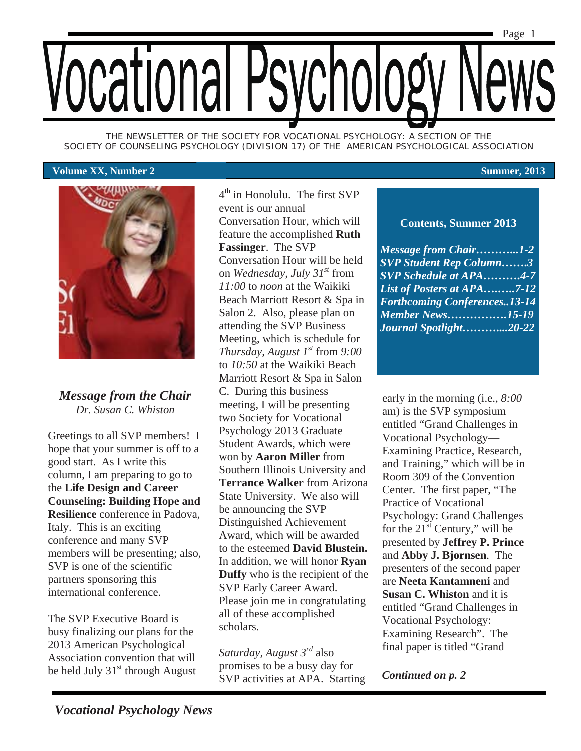

*THE NEWSLETTER OF THE SOCIETY FOR VOCATIONAL PSYCHOLOGY: A SECTION OF THE SOCIETY OF COUNSELING PSYCHOLOGY (DIVISION 17) OF THE AMERICAN PSYCHOLOGICAL ASSOCIATION* 

#### **Volume XX, Number 2 Summer, 2013**



*Message from the Chair Dr. Susan C. Whiston* 

Greetings to all SVP members! I hope that your summer is off to a good start. As I write this column, I am preparing to go to the **Life Design and Career Counseling: Building Hope and Resilience** conference in Padova, Italy. This is an exciting conference and many SVP members will be presenting; also, SVP is one of the scientific partners sponsoring this international conference.

The SVP Executive Board is busy finalizing our plans for the 2013 American Psychological Association convention that will be held July  $31<sup>st</sup>$  through August  $4<sup>th</sup>$  in Honolulu. The first SVP event is our annual Conversation Hour, which will feature the accomplished **Ruth Fassinger**. The SVP Conversation Hour will be held on *Wednesday, July 31st* from *11:00* to *noon* at the Waikiki Beach Marriott Resort & Spa in Salon 2. Also, please plan on attending the SVP Business Meeting, which is schedule for *Thursday, August 1<sup>st</sup>* from 9:00 to *10:50* at the Waikiki Beach Marriott Resort & Spa in Salon C. During this business meeting, I will be presenting two Society for Vocational Psychology 2013 Graduate Student Awards, which were won by **Aaron Miller** from Southern Illinois University and **Terrance Walker** from Arizona State University. We also will be announcing the SVP Distinguished Achievement Award, which will be awarded to the esteemed **David Blustein.**  In addition, we will honor **Ryan Duffy** who is the recipient of the SVP Early Career Award. Please join me in congratulating all of these accomplished scholars.

*Saturday, August 3rd* also promises to be a busy day for SVP activities at APA. Starting

### **Contents, Summer 2013**

*Message from Chair………...1-2 SVP Student Rep Column…….3 SVP Schedule at APA……….4-7 List of Posters at APA….…..7-12 Forthcoming Conferences..13-14 Member News…………….15-19 Journal Spotlight………....20-22* 

early in the morning (i.e., *8:00*  am) is the SVP symposium entitled "Grand Challenges in Vocational Psychology— Examining Practice, Research, and Training," which will be in Room 309 of the Convention Center. The first paper, "The Practice of Vocational Psychology: Grand Challenges for the  $21<sup>st</sup>$  Century," will be presented by **Jeffrey P. Prince** and **Abby J. Bjornsen**. The presenters of the second paper are **Neeta Kantamneni** and **Susan C. Whiston** and it is entitled "Grand Challenges in Vocational Psychology: Examining Research". The final paper is titled "Grand

*Continued on p. 2*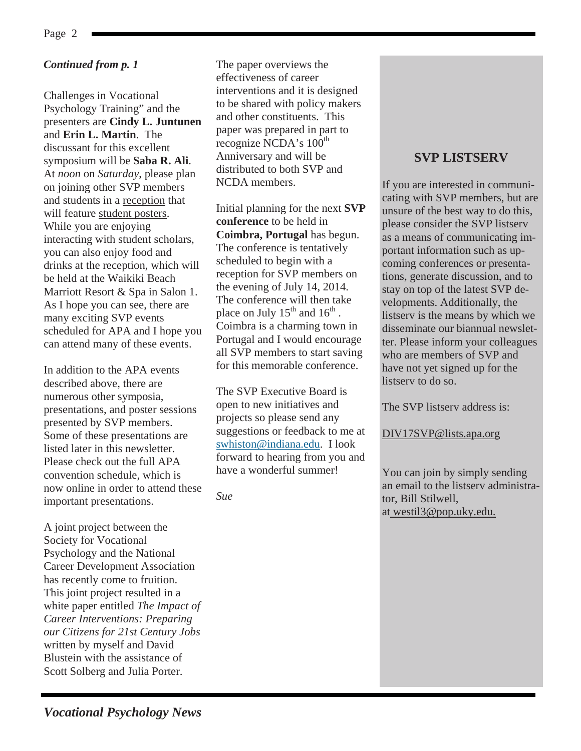### *Continued from p. 1*

Challenges in Vocational Psychology Training" and the presenters are **Cindy L. Juntunen** and **Erin L. Martin**. The discussant for this excellent symposium will be **Saba R. Ali**. At *noon* on *Saturday*, please plan on joining other SVP members and students in a reception that will feature student posters. While you are enjoying interacting with student scholars, you can also enjoy food and drinks at the reception, which will be held at the Waikiki Beach Marriott Resort & Spa in Salon 1. As I hope you can see, there are many exciting SVP events scheduled for APA and I hope you can attend many of these events.

In addition to the APA events described above, there are numerous other symposia, presentations, and poster sessions presented by SVP members. Some of these presentations are listed later in this newsletter. Please check out the full APA convention schedule, which is now online in order to attend these important presentations.

A joint project between the Society for Vocational Psychology and the National Career Development Association has recently come to fruition. This joint project resulted in a white paper entitled *The Impact of Career Interventions: Preparing our Citizens for 21st Century Jobs*  written by myself and David Blustein with the assistance of Scott Solberg and Julia Porter.

The paper overviews the effectiveness of career interventions and it is designed to be shared with policy makers and other constituents. This paper was prepared in part to recognize NCDA's  $100^{\text{th}}$ Anniversary and will be distributed to both SVP and NCDA members.

Initial planning for the next **SVP conference** to be held in **Coimbra, Portugal** has begun. The conference is tentatively scheduled to begin with a reception for SVP members on the evening of July 14, 2014. The conference will then take place on July  $15<sup>th</sup>$  and  $16<sup>th</sup>$ . Coimbra is a charming town in Portugal and I would encourage all SVP members to start saving for this memorable conference.

The SVP Executive Board is open to new initiatives and projects so please send any suggestions or feedback to me at swhiston@indiana.edu. I look forward to hearing from you and have a wonderful summer!

*Sue* 

### **SVP LISTSERV**

If you are interested in communicating with SVP members, but are unsure of the best way to do this, please consider the SVP listserv as a means of communicating important information such as upcoming conferences or presentations, generate discussion, and to stay on top of the latest SVP developments. Additionally, the listserv is the means by which we disseminate our biannual newsletter. Please inform your colleagues who are members of SVP and have not yet signed up for the listserv to do so.

The SVP listserv address is:

DIV17SVP@lists.apa.org

You can join by simply sending an email to the listserv administrator, Bill Stilwell, at westil3@pop.uky.edu.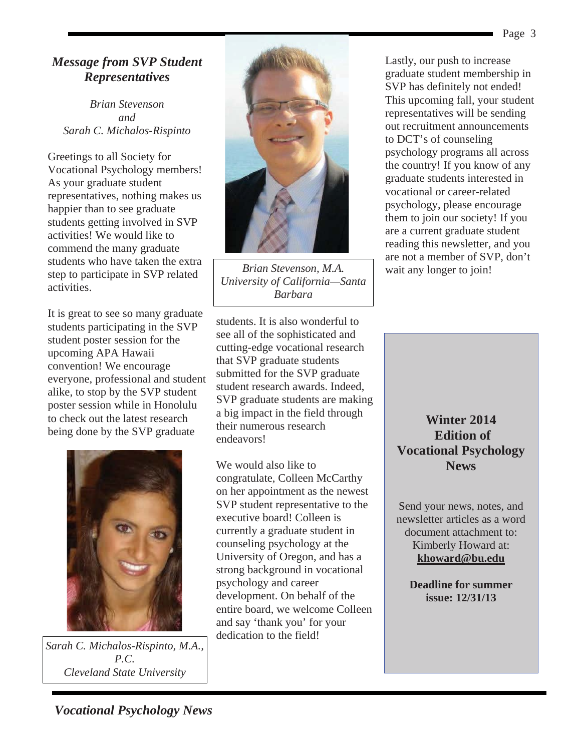### *Message from SVP Student Representatives*

*Brian Stevenson and Sarah C. Michalos-Rispinto* 

Greetings to all Society for Vocational Psychology members! As your graduate student representatives, nothing makes us happier than to see graduate students getting involved in SVP activities! We would like to commend the many graduate students who have taken the extra step to participate in SVP related activities.

It is great to see so many graduate students participating in the SVP student poster session for the upcoming APA Hawaii convention! We encourage everyone, professional and student alike, to stop by the SVP student poster session while in Honolulu to check out the latest research being done by the SVP graduate



*Sarah C. Michalos-Rispinto, M.A., P.C. Cleveland State University* 



*Brian Stevenson, M.A. University of California—Santa Barbara*

students. It is also wonderful to see all of the sophisticated and cutting-edge vocational research that SVP graduate students submitted for the SVP graduate student research awards. Indeed, SVP graduate students are making a big impact in the field through their numerous research endeavors!

We would also like to congratulate, Colleen McCarthy on her appointment as the newest SVP student representative to the executive board! Colleen is currently a graduate student in counseling psychology at the University of Oregon, and has a strong background in vocational psychology and career development. On behalf of the entire board, we welcome Colleen and say 'thank you' for your dedication to the field!

Lastly, our push to increase graduate student membership in SVP has definitely not ended! This upcoming fall, your student representatives will be sending out recruitment announcements to DCT's of counseling psychology programs all across the country! If you know of any graduate students interested in vocational or career-related psychology, please encourage them to join our society! If you are a current graduate student reading this newsletter, and you are not a member of SVP, don't wait any longer to join!

**Winter 2014 Edition of Vocational Psychology News**

Send your news, notes, and newsletter articles as a word document attachment to: Kimberly Howard at: **khoward@bu.edu** 

**Deadline for summer issue: 12/31/13**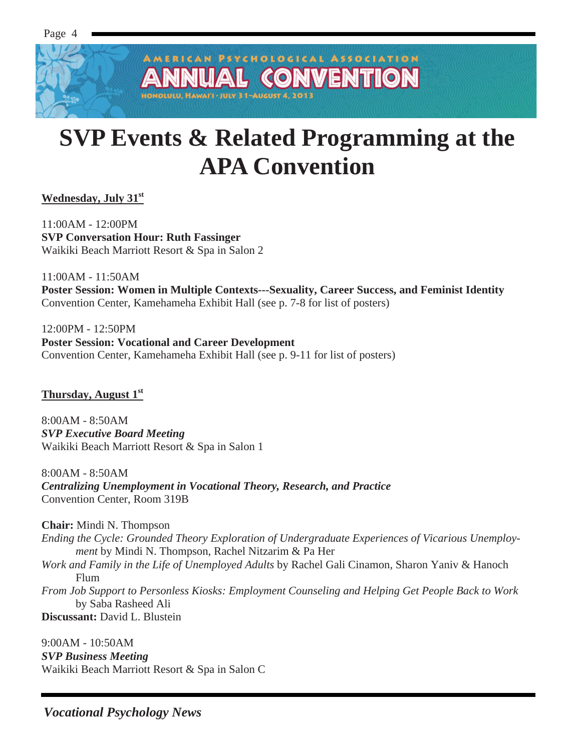Page 4

PSYCHOLOGICAL ASSOCIATION **NVENTIO**  $\overline{a}$ OLULU, HAWAI'I • JULY 31-AUGUST 4, 201

# **SVP Events & Related Programming at the APA Convention**

**Wednesday, July 31st** 

11:00AM - 12:00PM **SVP Conversation Hour: Ruth Fassinger**  Waikiki Beach Marriott Resort & Spa in Salon 2

11:00AM - 11:50AM **Poster Session: Women in Multiple Contexts---Sexuality, Career Success, and Feminist Identity**  Convention Center, Kamehameha Exhibit Hall (see p. 7-8 for list of posters)

12:00PM - 12:50PM **Poster Session: Vocational and Career Development**  Convention Center, Kamehameha Exhibit Hall (see p. 9-11 for list of posters)

**Thursday, August 1st**

8:00AM - 8:50AM *SVP Executive Board Meeting*  Waikiki Beach Marriott Resort & Spa in Salon 1

8:00AM - 8:50AM *Centralizing Unemployment in Vocational Theory, Research, and Practice*  Convention Center, Room 319B

**Chair:** Mindi N. Thompson

- *Ending the Cycle: Grounded Theory Exploration of Undergraduate Experiences of Vicarious Unemployment* by Mindi N. Thompson, Rachel Nitzarim & Pa Her
- *Work and Family in the Life of Unemployed Adults* by Rachel Gali Cinamon, Sharon Yaniv & Hanoch Flum
- *From Job Support to Personless Kiosks: Employment Counseling and Helping Get People Back to Work*  by Saba Rasheed Ali

**Discussant:** David L. Blustein

9:00AM - 10:50AM *SVP Business Meeting*  Waikiki Beach Marriott Resort & Spa in Salon C

*Vocational Psychology News*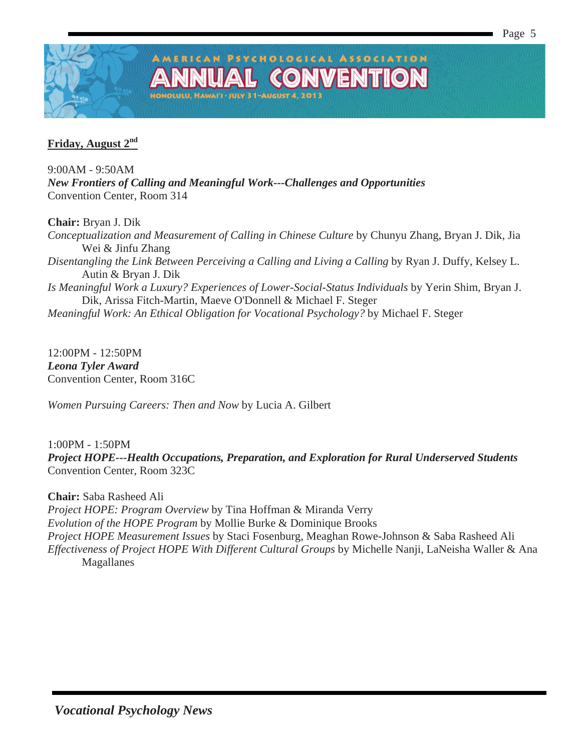

### **Friday, August 2nd**

9:00AM - 9:50AM *New Frontiers of Calling and Meaningful Work---Challenges and Opportunities*  Convention Center, Room 314

OLULU, HAWAI'I · JULY 31-AUGUST 4, 20

**Chair:** Bryan J. Dik

*Conceptualization and Measurement of Calling in Chinese Culture* by Chunyu Zhang, Bryan J. Dik, Jia Wei & Jinfu Zhang *Disentangling the Link Between Perceiving a Calling and Living a Calling* by Ryan J. Duffy, Kelsey L. Autin & Bryan J. Dik *Is Meaningful Work a Luxury? Experiences of Lower-Social-Status Individuals* by Yerin Shim, Bryan J. Dik, Arissa Fitch-Martin, Maeve O'Donnell & Michael F. Steger *Meaningful Work: An Ethical Obligation for Vocational Psychology?* by Michael F. Steger

AMERICAN PSYCHOLOGICAL ASSOCIATION

GO

**VVENTIOI** 

12:00PM - 12:50PM *Leona Tyler Award*  Convention Center, Room 316C

*Women Pursuing Careers: Then and Now* by Lucia A. Gilbert

1:00PM - 1:50PM *Project HOPE---Health Occupations, Preparation, and Exploration for Rural Underserved Students*  Convention Center, Room 323C

**Chair:** Saba Rasheed Ali *Project HOPE: Program Overview* by Tina Hoffman & Miranda Verry *Evolution of the HOPE Program* by Mollie Burke & Dominique Brooks *Project HOPE Measurement Issues* by Staci Fosenburg, Meaghan Rowe-Johnson & Saba Rasheed Ali *Effectiveness of Project HOPE With Different Cultural Groups* by Michelle Nanji, LaNeisha Waller & Ana Magallanes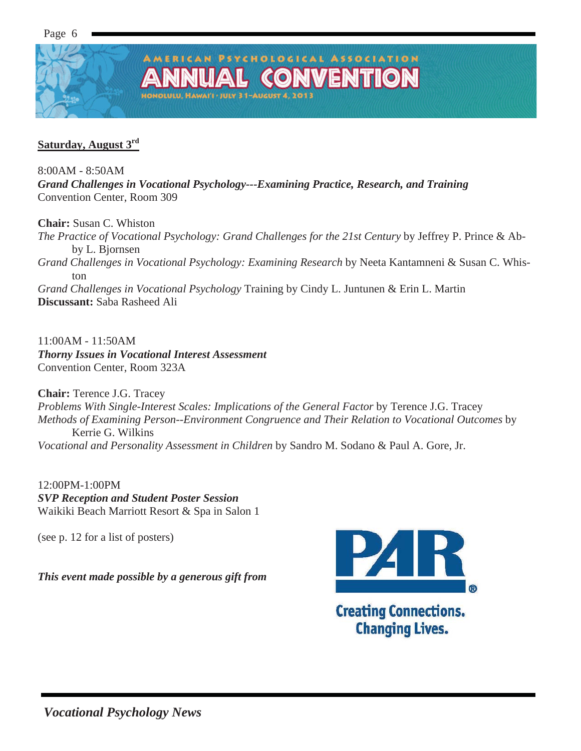### PSYCHOLOGICAL ASSOCIATION **VVENTIO CO**

ONOLULU, HAWAI'I . JULY 31-AUGUST 4, 2013

### **Saturday, August 3rd**

8:00AM - 8:50AM

*Grand Challenges in Vocational Psychology---Examining Practice, Research, and Training*  Convention Center, Room 309

**Chair:** Susan C. Whiston

*The Practice of Vocational Psychology: Grand Challenges for the 21st Century* by Jeffrey P. Prince & Abby L. Bjornsen *Grand Challenges in Vocational Psychology: Examining Research* by Neeta Kantamneni & Susan C. Whiston *Grand Challenges in Vocational Psychology* Training by Cindy L. Juntunen & Erin L. Martin **Discussant:** Saba Rasheed Ali

11:00AM - 11:50AM *Thorny Issues in Vocational Interest Assessment*  Convention Center, Room 323A

**Chair:** Terence J.G. Tracey *Problems With Single-Interest Scales: Implications of the General Factor* by Terence J.G. Tracey *Methods of Examining Person--Environment Congruence and Their Relation to Vocational Outcomes* by Kerrie G. Wilkins *Vocational and Personality Assessment in Children* by Sandro M. Sodano & Paul A. Gore, Jr.

12:00PM-1:00PM *SVP Reception and Student Poster Session*  Waikiki Beach Marriott Resort & Spa in Salon 1

(see p. 12 for a list of posters)

*This event made possible by a generous gift from* 



**Changing Lives.**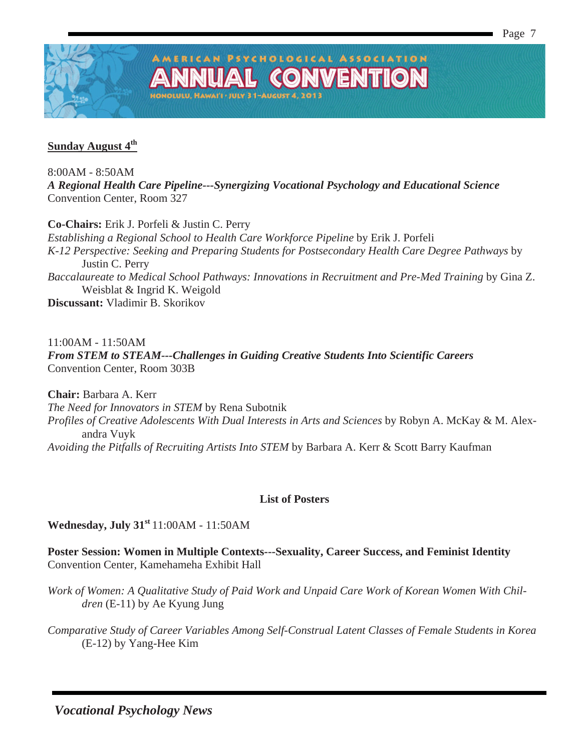

### **Sunday August 4th**

8:00AM - 8:50AM *A Regional Health Care Pipeline---Synergizing Vocational Psychology and Educational Science*  Convention Center, Room 327

**AMERICAN PSYCHOLOGICAL ASSOCIATION** 

GO

**IOLULU, HAWAI'I · JULY 31-AUGUST 4, 201** 

**VVENTIOI** 

**Co-Chairs:** Erik J. Porfeli & Justin C. Perry

*Establishing a Regional School to Health Care Workforce Pipeline* by Erik J. Porfeli *K-12 Perspective: Seeking and Preparing Students for Postsecondary Health Care Degree Pathways* by Justin C. Perry *Baccalaureate to Medical School Pathways: Innovations in Recruitment and Pre-Med Training* by Gina Z. Weisblat & Ingrid K. Weigold

**Discussant:** Vladimir B. Skorikov

11:00AM - 11:50AM *From STEM to STEAM---Challenges in Guiding Creative Students Into Scientific Careers*  Convention Center, Room 303B

**Chair:** Barbara A. Kerr *The Need for Innovators in STEM* by Rena Subotnik *Profiles of Creative Adolescents With Dual Interests in Arts and Sciences* by Robyn A. McKay & M. Alexandra Vuyk *Avoiding the Pitfalls of Recruiting Artists Into STEM* by Barbara A. Kerr & Scott Barry Kaufman

### **List of Posters**

**Wednesday, July 31st** 11:00AM - 11:50AM

**Poster Session: Women in Multiple Contexts---Sexuality, Career Success, and Feminist Identity**  Convention Center, Kamehameha Exhibit Hall

*Work of Women: A Qualitative Study of Paid Work and Unpaid Care Work of Korean Women With Children* (E-11) by Ae Kyung Jung

*Comparative Study of Career Variables Among Self-Construal Latent Classes of Female Students in Korea* (E-12) by Yang-Hee Kim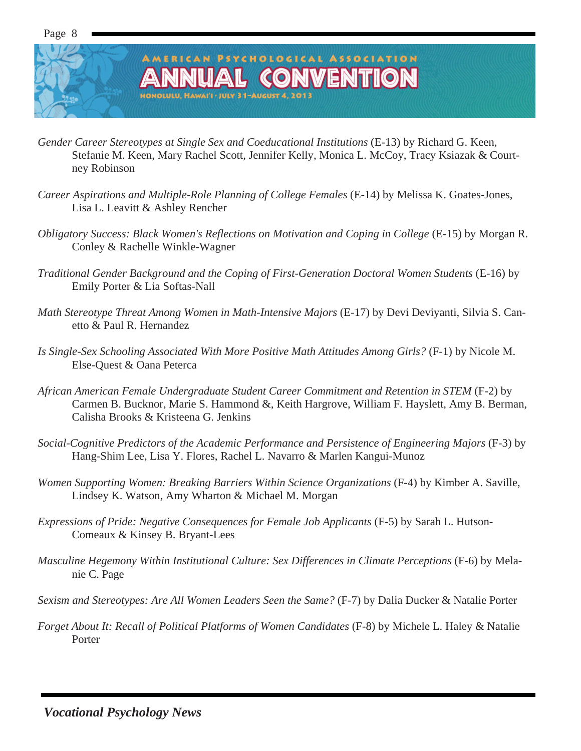

### AMERICAN PSYCHOLOGICAL ASSOCIATION L CONVENTIOI NOLULU, HAWAI'I . JULY 31-AUGUST 4, 2011

- *Gender Career Stereotypes at Single Sex and Coeducational Institutions* (E-13) by Richard G. Keen, Stefanie M. Keen, Mary Rachel Scott, Jennifer Kelly, Monica L. McCoy, Tracy Ksiazak & Courtney Robinson
- *Career Aspirations and Multiple-Role Planning of College Females* (E-14) by Melissa K. Goates-Jones, Lisa L. Leavitt & Ashley Rencher
- *Obligatory Success: Black Women's Reflections on Motivation and Coping in College* (E-15) by Morgan R. Conley & Rachelle Winkle-Wagner
- *Traditional Gender Background and the Coping of First-Generation Doctoral Women Students* (E-16) by Emily Porter & Lia Softas-Nall
- *Math Stereotype Threat Among Women in Math-Intensive Majors* (E-17) by Devi Deviyanti, Silvia S. Canetto & Paul R. Hernandez
- *Is Single-Sex Schooling Associated With More Positive Math Attitudes Among Girls?* (F-1) by Nicole M. Else-Quest & Oana Peterca
- *African American Female Undergraduate Student Career Commitment and Retention in STEM* (F-2) by Carmen B. Bucknor, Marie S. Hammond &, Keith Hargrove, William F. Hayslett, Amy B. Berman, Calisha Brooks & Kristeena G. Jenkins
- *Social-Cognitive Predictors of the Academic Performance and Persistence of Engineering Majors* (F-3) by Hang-Shim Lee, Lisa Y. Flores, Rachel L. Navarro & Marlen Kangui-Munoz
- *Women Supporting Women: Breaking Barriers Within Science Organizations* (F-4) by Kimber A. Saville, Lindsey K. Watson, Amy Wharton & Michael M. Morgan
- *Expressions of Pride: Negative Consequences for Female Job Applicants* (F-5) by Sarah L. Hutson-Comeaux & Kinsey B. Bryant-Lees
- *Masculine Hegemony Within Institutional Culture: Sex Differences in Climate Perceptions* (F-6) by Melanie C. Page
- *Sexism and Stereotypes: Are All Women Leaders Seen the Same?* (F-7) by Dalia Ducker & Natalie Porter
- *Forget About It: Recall of Political Platforms of Women Candidates* (F-8) by Michele L. Haley & Natalie Porter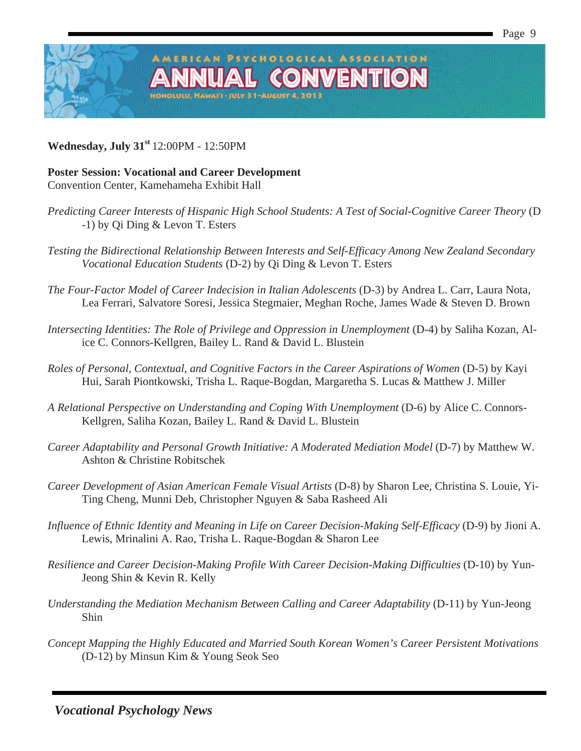

**Wednesday, July 31st** 12:00PM - 12:50PM

### **Poster Session: Vocational and Career Development**

Convention Center, Kamehameha Exhibit Hall

*Predicting Career Interests of Hispanic High School Students: A Test of Social-Cognitive Career Theory* (D -1) by Qi Ding & Levon T. Esters

AMERICAN PSYCHOLOGICAL ASSOCIATION

**IOLULU, HAWAI'I · JULY 31-AUGUST 4, 201** 

**CONVENTIOI** 

- *Testing the Bidirectional Relationship Between Interests and Self-Efficacy Among New Zealand Secondary Vocational Education Students* (D-2) by Qi Ding & Levon T. Esters
- *The Four-Factor Model of Career Indecision in Italian Adolescents* (D-3) by Andrea L. Carr, Laura Nota, Lea Ferrari, Salvatore Soresi, Jessica Stegmaier, Meghan Roche, James Wade & Steven D. Brown
- *Intersecting Identities: The Role of Privilege and Oppression in Unemployment* (D-4) by Saliha Kozan, Alice C. Connors-Kellgren, Bailey L. Rand & David L. Blustein
- *Roles of Personal, Contextual, and Cognitive Factors in the Career Aspirations of Women (D-5) by Kayi* Hui, Sarah Piontkowski, Trisha L. Raque-Bogdan, Margaretha S. Lucas & Matthew J. Miller
- *A Relational Perspective on Understanding and Coping With Unemployment* (D-6) by Alice C. Connors-Kellgren, Saliha Kozan, Bailey L. Rand & David L. Blustein
- *Career Adaptability and Personal Growth Initiative: A Moderated Mediation Model* (D-7) by Matthew W. Ashton & Christine Robitschek
- *Career Development of Asian American Female Visual Artists* (D-8) by Sharon Lee, Christina S. Louie, Yi-Ting Cheng, Munni Deb, Christopher Nguyen & Saba Rasheed Ali
- *Influence of Ethnic Identity and Meaning in Life on Career Decision-Making Self-Efficacy* (D-9) by Jioni A. Lewis, Mrinalini A. Rao, Trisha L. Raque-Bogdan & Sharon Lee
- *Resilience and Career Decision-Making Profile With Career Decision-Making Difficulties* (D-10) by Yun-Jeong Shin & Kevin R. Kelly
- *Understanding the Mediation Mechanism Between Calling and Career Adaptability* (D-11) by Yun-Jeong Shin
- *Concept Mapping the Highly Educated and Married South Korean Women's Career Persistent Motivations* (D-12) by Minsun Kim & Young Seok Seo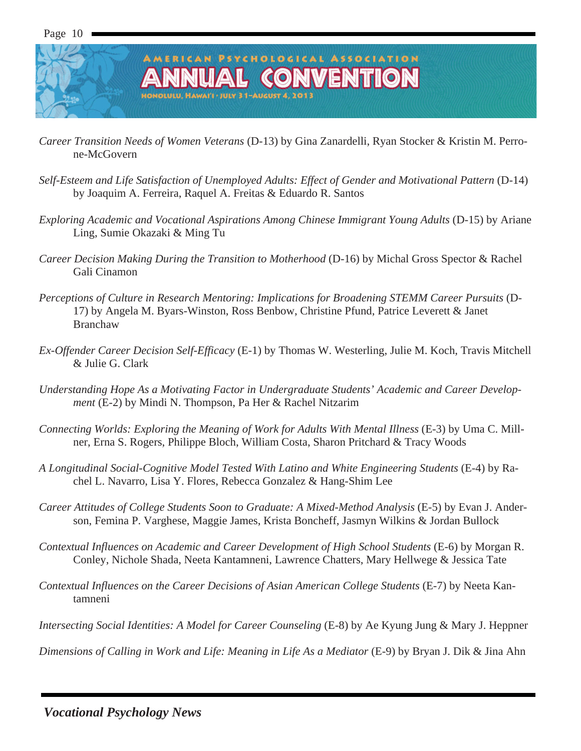### AMERICAN PSYCHOLOGICAL ASSOCIATION L CONVENTIO ONOLULU, HAWAI'I · JULY 31-AUGUST 4, 2013

- *Career Transition Needs of Women Veterans* (D-13) by Gina Zanardelli, Ryan Stocker & Kristin M. Perrone-McGovern
- *Self-Esteem and Life Satisfaction of Unemployed Adults: Effect of Gender and Motivational Pattern* (D-14) by Joaquim A. Ferreira, Raquel A. Freitas & Eduardo R. Santos
- *Exploring Academic and Vocational Aspirations Among Chinese Immigrant Young Adults* (D-15) by Ariane Ling, Sumie Okazaki & Ming Tu
- *Career Decision Making During the Transition to Motherhood* (D-16) by Michal Gross Spector & Rachel Gali Cinamon
- *Perceptions of Culture in Research Mentoring: Implications for Broadening STEMM Career Pursuits* (D-17) by Angela M. Byars-Winston, Ross Benbow, Christine Pfund, Patrice Leverett & Janet Branchaw
- *Ex-Offender Career Decision Self-Efficacy* (E-1) by Thomas W. Westerling, Julie M. Koch, Travis Mitchell & Julie G. Clark
- *Understanding Hope As a Motivating Factor in Undergraduate Students' Academic and Career Development* (E-2) by Mindi N. Thompson, Pa Her & Rachel Nitzarim
- *Connecting Worlds: Exploring the Meaning of Work for Adults With Mental Illness* (E-3) by Uma C. Millner, Erna S. Rogers, Philippe Bloch, William Costa, Sharon Pritchard & Tracy Woods
- *A Longitudinal Social-Cognitive Model Tested With Latino and White Engineering Students* (E-4) by Rachel L. Navarro, Lisa Y. Flores, Rebecca Gonzalez & Hang-Shim Lee
- *Career Attitudes of College Students Soon to Graduate: A Mixed-Method Analysis* (E-5) by Evan J. Anderson, Femina P. Varghese, Maggie James, Krista Boncheff, Jasmyn Wilkins & Jordan Bullock
- *Contextual Influences on Academic and Career Development of High School Students* (E-6) by Morgan R. Conley, Nichole Shada, Neeta Kantamneni, Lawrence Chatters, Mary Hellwege & Jessica Tate
- *Contextual Influences on the Career Decisions of Asian American College Students* (E-7) by Neeta Kantamneni
- *Intersecting Social Identities: A Model for Career Counseling* (E-8) by Ae Kyung Jung & Mary J. Heppner

*Dimensions of Calling in Work and Life: Meaning in Life As a Mediator* (E-9) by Bryan J. Dik & Jina Ahn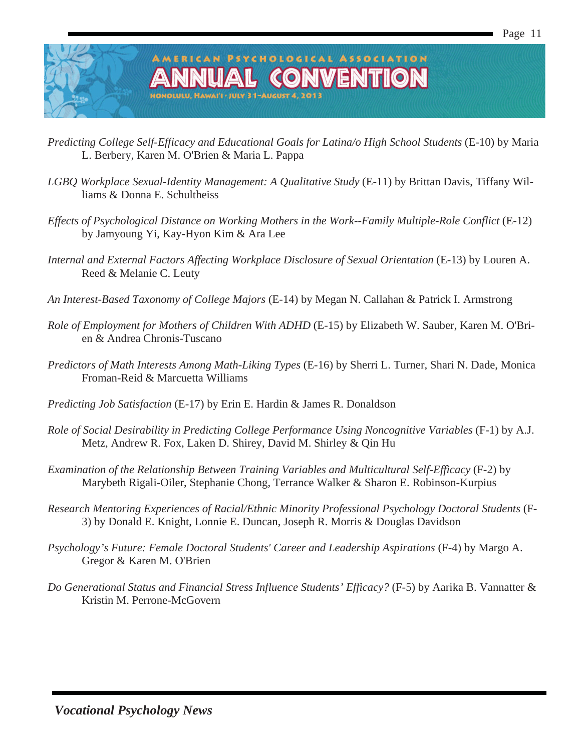

- *Predicting College Self-Efficacy and Educational Goals for Latina/o High School Students* (E-10) by Maria L. Berbery, Karen M. O'Brien & Maria L. Pappa
- *LGBQ Workplace Sexual-Identity Management: A Qualitative Study* (E-11) by Brittan Davis, Tiffany Williams & Donna E. Schultheiss
- *Effects of Psychological Distance on Working Mothers in the Work--Family Multiple-Role Conflict* (E-12) by Jamyoung Yi, Kay-Hyon Kim & Ara Lee
- *Internal and External Factors Affecting Workplace Disclosure of Sexual Orientation* (E-13) by Louren A. Reed & Melanie C. Leuty
- *An Interest-Based Taxonomy of College Majors* (E-14) by Megan N. Callahan & Patrick I. Armstrong
- *Role of Employment for Mothers of Children With ADHD* (E-15) by Elizabeth W. Sauber, Karen M. O'Brien & Andrea Chronis-Tuscano
- *Predictors of Math Interests Among Math-Liking Types* (E-16) by Sherri L. Turner, Shari N. Dade, Monica Froman-Reid & Marcuetta Williams
- *Predicting Job Satisfaction* (E-17) by Erin E. Hardin & James R. Donaldson
- *Role of Social Desirability in Predicting College Performance Using Noncognitive Variables* (F-1) by A.J. Metz, Andrew R. Fox, Laken D. Shirey, David M. Shirley & Qin Hu
- *Examination of the Relationship Between Training Variables and Multicultural Self-Efficacy* (F-2) by Marybeth Rigali-Oiler, Stephanie Chong, Terrance Walker & Sharon E. Robinson-Kurpius
- *Research Mentoring Experiences of Racial/Ethnic Minority Professional Psychology Doctoral Students* (F-3) by Donald E. Knight, Lonnie E. Duncan, Joseph R. Morris & Douglas Davidson
- *Psychology's Future: Female Doctoral Students' Career and Leadership Aspirations* (F-4) by Margo A. Gregor & Karen M. O'Brien
- *Do Generational Status and Financial Stress Influence Students' Efficacy?* (F-5) by Aarika B. Vannatter & Kristin M. Perrone-McGovern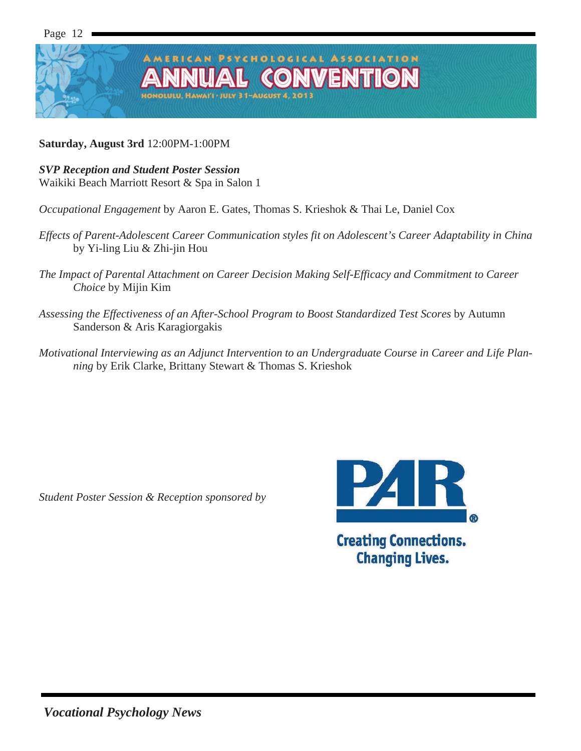

### **Saturday, August 3rd** 12:00PM-1:00PM

### *SVP Reception and Student Poster Session*  Waikiki Beach Marriott Resort & Spa in Salon 1

*Occupational Engagement* by Aaron E. Gates, Thomas S. Krieshok & Thai Le, Daniel Cox

- *Effects of Parent-Adolescent Career Communication styles fit on Adolescent's Career Adaptability in China* by Yi-ling Liu & Zhi-jin Hou
- *The Impact of Parental Attachment on Career Decision Making Self-Efficacy and Commitment to Career Choice* by Mijin Kim
- *Assessing the Effectiveness of an After-School Program to Boost Standardized Test Scores* by Autumn Sanderson & Aris Karagiorgakis
- *Motivational Interviewing as an Adjunct Intervention to an Undergraduate Course in Career and Life Planning* by Erik Clarke, Brittany Stewart & Thomas S. Krieshok

*Student Poster Session & Reception sponsored by* 



**Changing Lives.**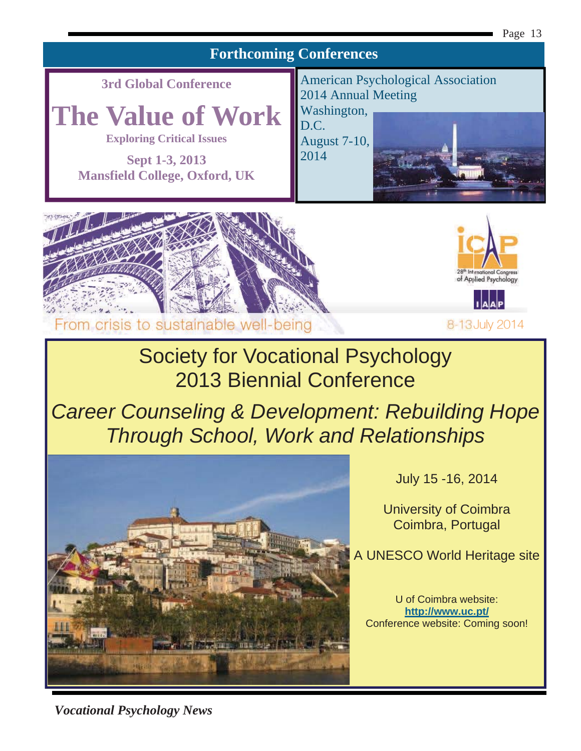### **Forthcoming Conferences**

**3rd Global Conference** 

**The Value of Work** 

**Exploring Critical Issues** 

**Sept 1-3, 2013 Mansfield College, Oxford, UK** 



August 7-10, 2014







8-13 July 2014

# Society for Vocational Psychology 2013 Biennial Conference

*Career Counseling & Development: Rebuilding Hope Through School, Work and Relationships* 



July 15 -16, 2014

University of Coimbra Coimbra, Portugal

A UNESCO World Heritage site

U of Coimbra website: **http://www.uc.pt/** Conference website: Coming soon!

*Vocational Psychology News*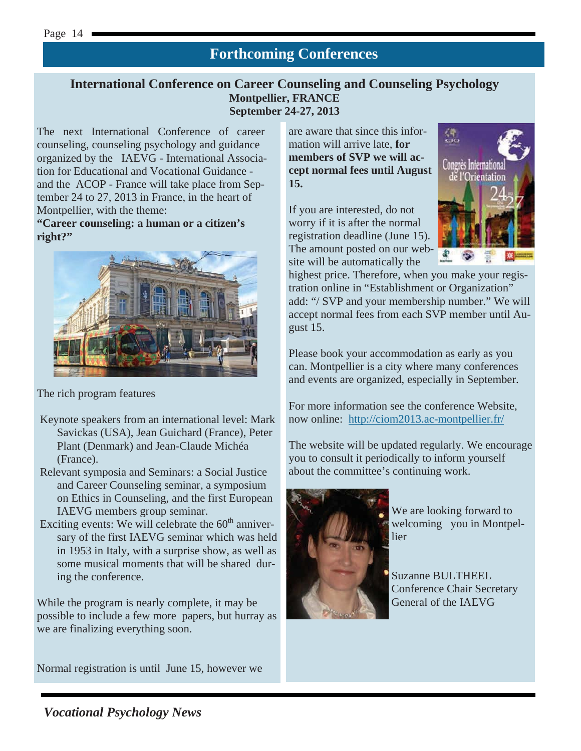### **Forthcoming Conferences**

### **International Conference on Career Counseling and Counseling Psychology Montpellier, FRANCE September 24-27, 2013**

The next International Conference of career counseling, counseling psychology and guidance organized by the IAEVG - International Association for Educational and Vocational Guidance and the ACOP - France will take place from September 24 to 27, 2013 in France, in the heart of Montpellier, with the theme:

**"Career counseling: a human or a citizen's right?"** 



The rich program features

- Keynote speakers from an international level: Mark Savickas (USA), Jean Guichard (France), Peter Plant (Denmark) and Jean-Claude Michéa (France).
- Relevant symposia and Seminars: a Social Justice and Career Counseling seminar, a symposium on Ethics in Counseling, and the first European IAEVG members group seminar.
- Exciting events: We will celebrate the  $60<sup>th</sup>$  anniversary of the first IAEVG seminar which was held in 1953 in Italy, with a surprise show, as well as some musical moments that will be shared during the conference.

While the program is nearly complete, it may be possible to include a few more papers, but hurray as we are finalizing everything soon.

Normal registration is until June 15, however we

are aware that since this information will arrive late, **for members of SVP we will accept normal fees until August 15.** 

If you are interested, do not worry if it is after the normal registration deadline (June 15). The amount posted on our website will be automatically the



highest price. Therefore, when you make your registration online in "Establishment or Organization" add: "/ SVP and your membership number." We will accept normal fees from each SVP member until August 15.

Please book your accommodation as early as you can. Montpellier is a city where many conferences and events are organized, especially in September.

For more information see the conference Website, now online: http://ciom2013.ac-montpellier.fr/

The website will be updated regularly. We encourage you to consult it periodically to inform yourself about the committee's continuing work.



We are looking forward to welcoming you in Montpellier

Suzanne BULTHEEL Conference Chair Secretary General of the IAEVG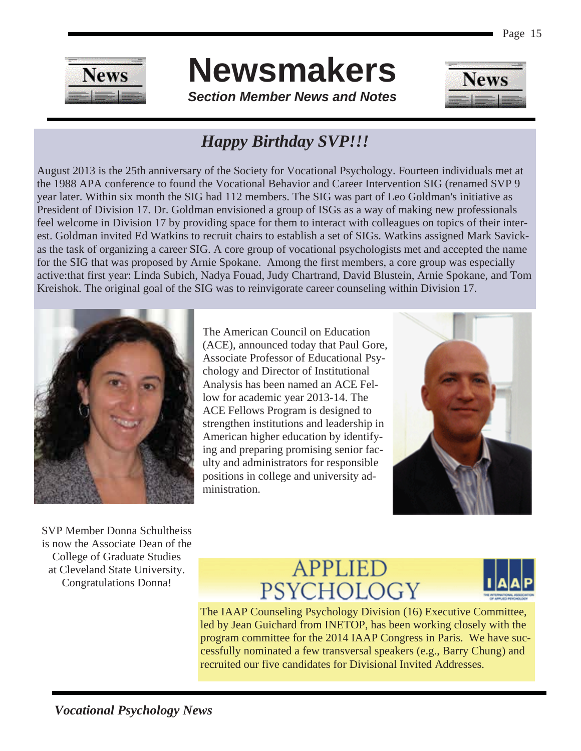

*Section Member News and Notes* 



### *Happy Birthday SVP!!!*

August 2013 is the 25th anniversary of the Society for Vocational Psychology. Fourteen individuals met at the 1988 APA conference to found the Vocational Behavior and Career Intervention SIG (renamed SVP 9 year later. Within six month the SIG had 112 members. The SIG was part of Leo Goldman's initiative as President of Division 17. Dr. Goldman envisioned a group of ISGs as a way of making new professionals feel welcome in Division 17 by providing space for them to interact with colleagues on topics of their interest. Goldman invited Ed Watkins to recruit chairs to establish a set of SIGs. Watkins assigned Mark Savickas the task of organizing a career SIG. A core group of vocational psychologists met and accepted the name for the SIG that was proposed by Arnie Spokane. Among the first members, a core group was especially active:that first year: Linda Subich, Nadya Fouad, Judy Chartrand, David Blustein, Arnie Spokane, and Tom Kreishok. The original goal of the SIG was to reinvigorate career counseling within Division 17.



The American Council on Education (ACE), announced today that Paul Gore, Associate Professor of Educational Psychology and Director of Institutional Analysis has been named an ACE Fellow for academic year 2013-14. The ACE Fellows Program is designed to strengthen institutions and leadership in American higher education by identifying and preparing promising senior faculty and administrators for responsible positions in college and university administration.



SVP Member Donna Schultheiss is now the Associate Dean of the College of Graduate Studies at Cleveland State University. Congratulations Donna!

# **APPLIED** PSYCHOLOGY



The IAAP Counseling Psychology Division (16) Executive Committee, led by Jean Guichard from INETOP, has been working closely with the program committee for the 2014 IAAP Congress in Paris. We have successfully nominated a few transversal speakers (e.g., Barry Chung) and recruited our five candidates for Divisional Invited Addresses.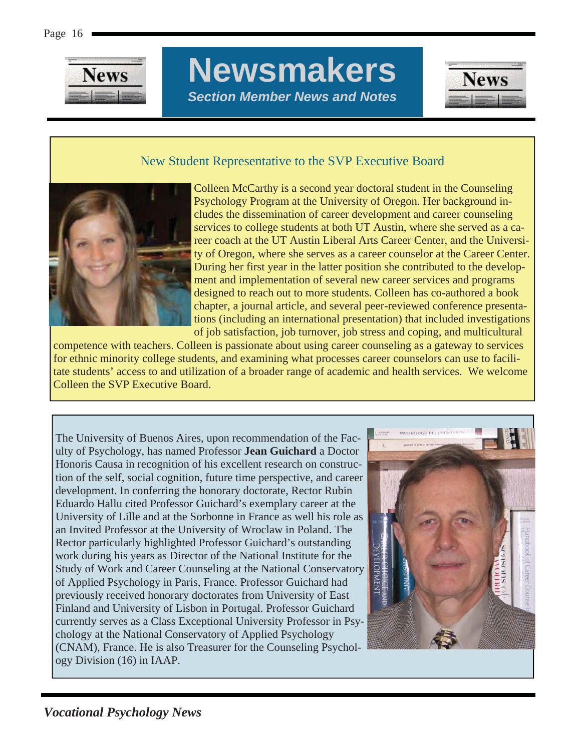

# **Newsmakers**  *Section Member News and Notes*



### New Student Representative to the SVP Executive Board



Colleen McCarthy is a second year doctoral student in the Counseling Psychology Program at the University of Oregon. Her background includes the dissemination of career development and career counseling services to college students at both UT Austin, where she served as a career coach at the UT Austin Liberal Arts Career Center, and the University of Oregon, where she serves as a career counselor at the Career Center. During her first year in the latter position she contributed to the development and implementation of several new career services and programs designed to reach out to more students. Colleen has co-authored a book chapter, a journal article, and several peer-reviewed conference presentations (including an international presentation) that included investigations of job satisfaction, job turnover, job stress and coping, and multicultural

competence with teachers. Colleen is passionate about using career counseling as a gateway to services for ethnic minority college students, and examining what processes career counselors can use to facilitate students' access to and utilization of a broader range of academic and health services. We welcome Colleen the SVP Executive Board.

The University of Buenos Aires, upon recommendation of the Faculty of Psychology, has named Professor **Jean Guichard** a Doctor Honoris Causa in recognition of his excellent research on construction of the self, social cognition, future time perspective, and career development. In conferring the honorary doctorate, Rector Rubin Eduardo Hallu cited Professor Guichard's exemplary career at the University of Lille and at the Sorbonne in France as well his role as an Invited Professor at the University of Wroclaw in Poland. The Rector particularly highlighted Professor Guichard's outstanding work during his years as Director of the National Institute for the Study of Work and Career Counseling at the National Conservatory of Applied Psychology in Paris, France. Professor Guichard had previously received honorary doctorates from University of East Finland and University of Lisbon in Portugal. Professor Guichard currently serves as a Class Exceptional University Professor in Psychology at the National Conservatory of Applied Psychology (CNAM), France. He is also Treasurer for the Counseling Psychology Division (16) in IAAP.

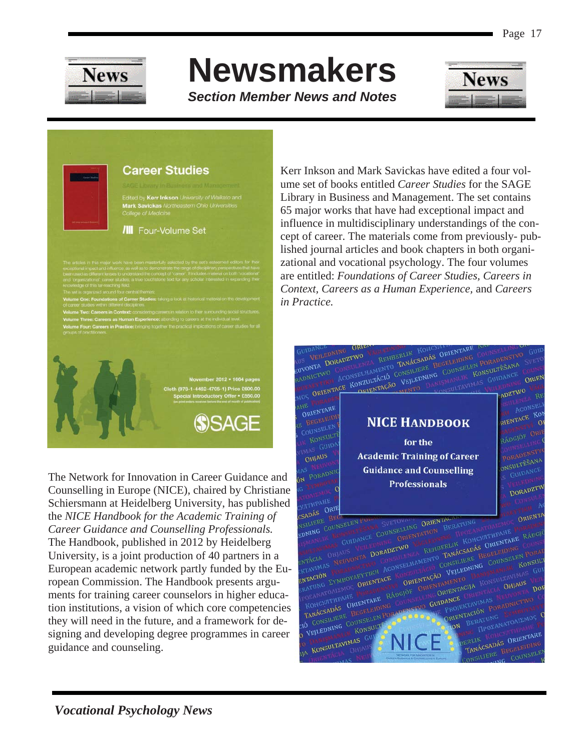

*Section Member News and Notes* 



### **Career Studies**

Edited by Kerr Inkson University of Waikato and and by Nerr misson Driversit<br>ark Savickas Northeastern O<br>llege of Medicine

#### **III** Four-Volume Set

3-1-4462-4705-1) Price £6

**SSAGE** 

The Network for Innovation in Career Guidance and Counselling in Europe (NICE), chaired by Christiane Schiersmann at Heidelberg University, has published the *NICE Handbook for the Academic Training of Career Guidance and Counselling Professionals.*  The Handbook, published in 2012 by Heidelberg University, is a joint production of 40 partners in a European academic network partly funded by the European Commission. The Handbook presents arguments for training career counselors in higher education institutions, a vision of which core competencies they will need in the future, and a framework for designing and developing degree programmes in career guidance and counseling.

Kerr Inkson and Mark Savickas have edited a four volume set of books entitled *Career Studies* for the SAGE Library in Business and Management. The set contains 65 major works that have had exceptional impact and influence in multidisciplinary understandings of the concept of career. The materials come from previously- published journal articles and book chapters in both organizational and vocational psychology. The four volumes are entitled: *Foundations of Career Studies, Careers in Context, Careers as a Human Experience,* and *Careers in Practice.* 

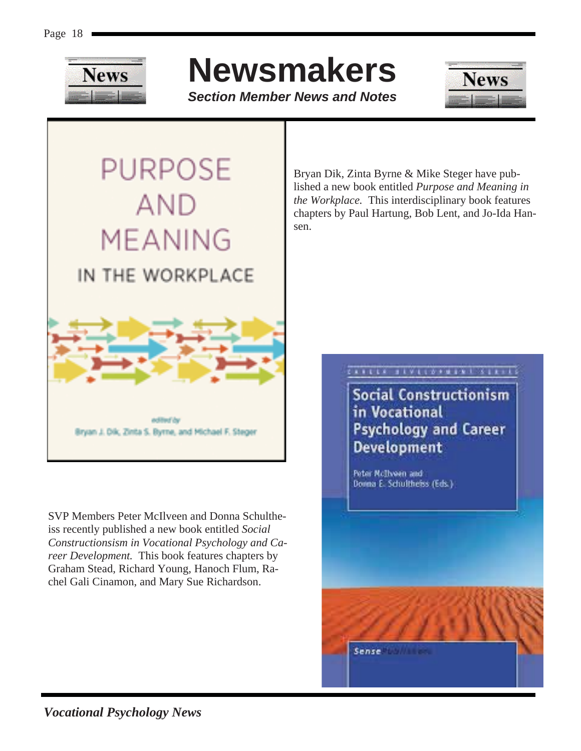

*Section Member News and Notes* 



PURPOSE **AND MEANING** IN THE WORKPLACE

> **Additional Cost** Bryan J. Dik, Zinta S. Byrne, and Michael F. Steger

SVP Members Peter McIlveen and Donna Schultheiss recently published a new book entitled *Social Constructionsism in Vocational Psychology and Career Development.* This book features chapters by Graham Stead, Richard Young, Hanoch Flum, Rachel Gali Cinamon, and Mary Sue Richardson.

Bryan Dik, Zinta Byrne & Mike Steger have published a new book entitled *Purpose and Meaning in the Workplace.* This interdisciplinary book features chapters by Paul Hartung, Bob Lent, and Jo-Ida Hansen.

### *EXPERIE BRUCED FREEM & SERVES*

Social Constructionism in Vocational **Psychology and Career Development** 

Peter NcThwen and Donna E. Schultheiss (Eds.)

Sense in the sense

*Vocational Psychology News*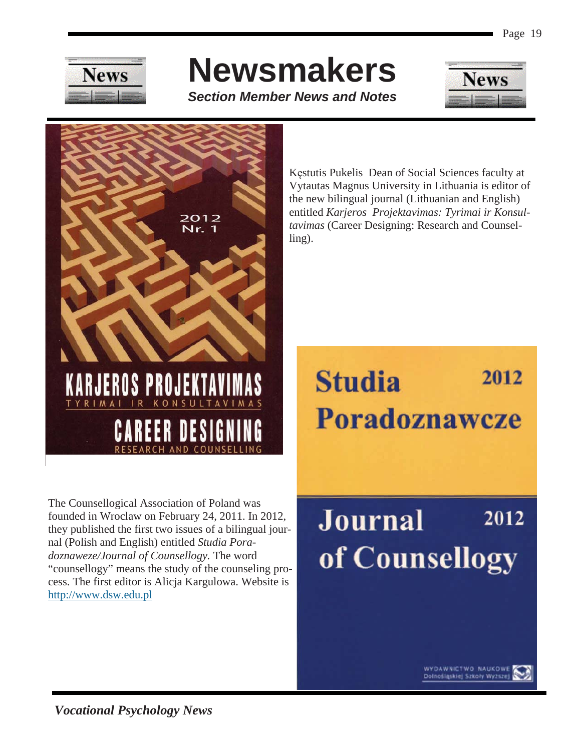

*Section Member News and Notes* 





The Counsellogical Association of Poland was founded in Wroclaw on February 24, 2011. In 2012, they published the first two issues of a bilingual journal (Polish and English) entitled *Studia Poradoznaweze/Journal of Counsellogy.* The word "counsellogy" means the study of the counseling process. The first editor is Alicja Kargulowa. Website is http://www.dsw.edu.pl

Kęstutis Pukelis Dean of Social Sciences faculty at Vytautas Magnus University in Lithuania is editor of the new bilingual journal (Lithuanian and English) entitled *Karjeros Projektavimas: Tyrimai ir Konsultavimas* (Career Designing: Research and Counselling).

# **Studia** 2012 **Poradoznawcze**

## **Journal** 2012 of Counsellogy



WYDAWNICTWO NAUKOWI<br>Dolnośląskiej Szkoły Wyższe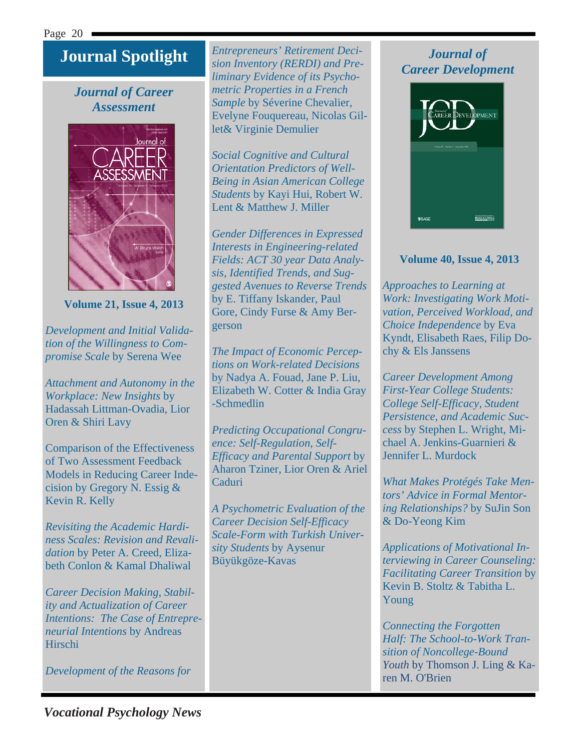### **Journal Spotlight**

### *Journal of Career Assessment*



**Volume 21, Issue 4, 2013** 

*Development and Initial Validation of the Willingness to Compromise Scale* by Serena Wee

*Attachment and Autonomy in the Workplace: New Insights* by Hadassah Littman-Ovadia, Lior Oren & Shiri Lavy

Comparison of the Effectiveness of Two Assessment Feedback Models in Reducing Career Indecision by Gregory N. Essig & Kevin R. Kelly

*Revisiting the Academic Hardiness Scales: Revision and Revalidation* by Peter A. Creed, Elizabeth Conlon & Kamal Dhaliwal

*Career Decision Making, Stability and Actualization of Career Intentions: The Case of Entrepreneurial Intentions* by Andreas Hirschi

*Development of the Reasons for* 

*Entrepreneurs' Retirement Decision Inventory (RERDI) and Preliminary Evidence of its Psychometric Properties in a French Sample* by Séverine Chevalier, Evelyne Fouquereau, Nicolas Gillet& Virginie Demulier

*Social Cognitive and Cultural Orientation Predictors of Well-Being in Asian American College Students* by Kayi Hui, Robert W. Lent & Matthew J. Miller

*Gender Differences in Expressed Interests in Engineering-related Fields: ACT 30 year Data Analysis, Identified Trends, and Suggested Avenues to Reverse Trends* by E. Tiffany Iskander, Paul Gore, Cindy Furse & Amy Bergerson

*The Impact of Economic Perceptions on Work-related Decisions* by Nadya A. Fouad, Jane P. Liu, Elizabeth W. Cotter & India Gray -Schmedlin

*Predicting Occupational Congruence: Self-Regulation, Self-Efficacy and Parental Support* by Aharon Tziner, Lior Oren & Ariel Caduri

*A Psychometric Evaluation of the Career Decision Self-Efficacy Scale-Form with Turkish University Students* by Aysenur Büyükgöze-Kavas

### *Journal of Career Development*



### **Volume 40, Issue 4, 2013**

*Approaches to Learning at Work: Investigating Work Motivation, Perceived Workload, and Choice Independence* by Eva Kyndt, Elisabeth Raes, Filip Dochy & Els Janssens

*Career Development Among First-Year College Students: College Self-Efficacy, Student Persistence, and Academic Success* by Stephen L. Wright, Michael A. Jenkins-Guarnieri & Jennifer L. Murdock

*What Makes Protégés Take Mentors' Advice in Formal Mentoring Relationships?* by SuJin Son & Do-Yeong Kim

*Applications of Motivational Interviewing in Career Counseling: Facilitating Career Transition* by Kevin B. Stoltz & Tabitha L. Young

*Connecting the Forgotten Half: The School-to-Work Transition of Noncollege-Bound Youth* by Thomson J. Ling & Karen M. O'Brien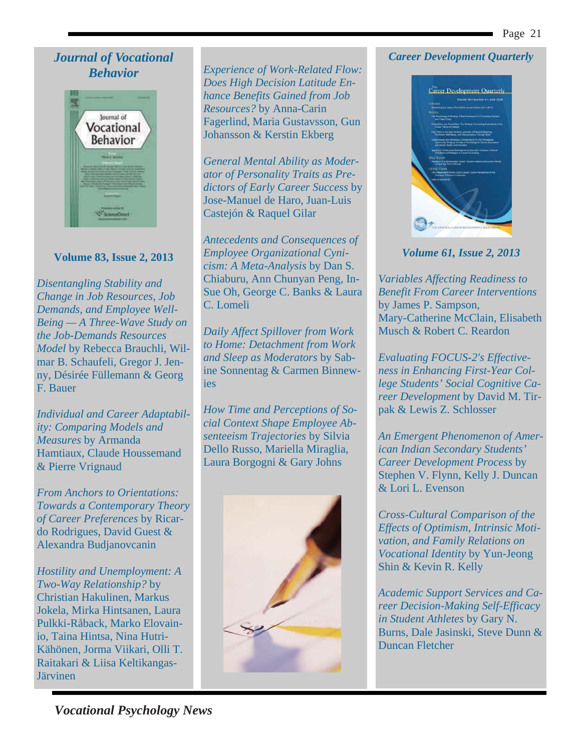### *Journal of Vocational Behavior*



### **Volume 83, Issue 2, 2013**

*Disentangling Stability and Change in Job Resources, Job Demands, and Employee Well-Being — A Three-Wave Study on the Job-Demands Resources Model* by Rebecca Brauchli, Wilmar B. Schaufeli, Gregor J. Jenny, Désirée Füllemann & Georg F. Bauer

*Individual and Career Adaptability: Comparing Models and Measures* by Armanda Hamtiaux, Claude Houssemand & Pierre Vrignaud

*From Anchors to Orientations: Towards a Contemporary Theory of Career Preferences* by Ricardo Rodrigues, David Guest & Alexandra Budjanovcanin

*Hostility and Unemployment: A Two-Way Relationship?* by Christian Hakulinen, Markus Jokela, Mirka Hintsanen, Laura Pulkki-Råback, Marko Elovainio, Taina Hintsa, Nina Hutri-Kähönen, Jorma Viikari, Olli T. Raitakari & Liisa Keltikangas-Järvinen

*Experience of Work-Related Flow: Does High Decision Latitude Enhance Benefits Gained from Job Resources?* by Anna-Carin Fagerlind, Maria Gustavsson, Gun Johansson & Kerstin Ekberg

*General Mental Ability as Moderator of Personality Traits as Predictors of Early Career Success* by Jose-Manuel de Haro, Juan-Luis Castejón & Raquel Gilar

*Antecedents and Consequences of Employee Organizational Cynicism: A Meta-Analysis* by Dan S. Chiaburu, Ann Chunyan Peng, In-Sue Oh, George C. Banks & Laura C. Lomeli

*Daily Affect Spillover from Work to Home: Detachment from Work and Sleep as Moderators* by Sabine Sonnentag & Carmen Binnewies

*How Time and Perceptions of Social Context Shape Employee Absenteeism Trajectories* by Silvia Dello Russo, Mariella Miraglia, Laura Borgogni & Gary Johns



### *Career Development Quarterly*



*Volume 61, Issue 2, 2013* 

*Variables Affecting Readiness to Benefit From Career Interventions* by James P. Sampson, Mary-Catherine McClain, Elisabeth Musch & Robert C. Reardon

*Evaluating FOCUS-2's Effectiveness in Enhancing First-Year College Students' Social Cognitive Career Development* by David M. Tirpak & Lewis Z. Schlosser

*An Emergent Phenomenon of American Indian Secondary Students' Career Development Process* by Stephen V. Flynn, Kelly J. Duncan & Lori L. Evenson

*Cross-Cultural Comparison of the Effects of Optimism, Intrinsic Motivation, and Family Relations on Vocational Identity* by Yun-Jeong Shin & Kevin R. Kelly

*Academic Support Services and Career Decision-Making Self-Efficacy in Student Athletes* by Gary N. Burns, Dale Jasinski, Steve Dunn & Duncan Fletcher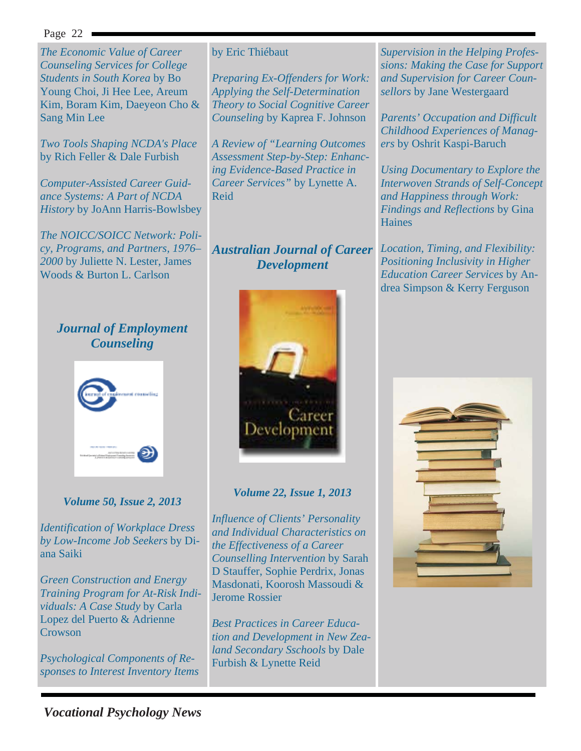*The Economic Value of Career Counseling Services for College Students in South Korea* by Bo Young Choi, Ji Hee Lee, Areum Kim, Boram Kim, Daeyeon Cho & Sang Min Lee

*Two Tools Shaping NCDA's Place* by Rich Feller & Dale Furbish

*Computer-Assisted Career Guidance Systems: A Part of NCDA History* by JoAnn Harris-Bowlsbey

*The NOICC/SOICC Network: Policy, Programs, and Partners, 1976– 2000* by Juliette N. Lester, James Woods & Burton L. Carlson

### by Eric Thiébaut

*Preparing Ex-Offenders for Work: Applying the Self-Determination Theory to Social Cognitive Career Counseling* by Kaprea F. Johnson

*A Review of "Learning Outcomes Assessment Step-by-Step: Enhancing Evidence-Based Practice in Career Services"* by Lynette A. Reid

### *Australian Journal of Career Development*

*Supervision in the Helping Professions: Making the Case for Support and Supervision for Career Counsellors* by Jane Westergaard

*Parents' Occupation and Difficult Childhood Experiences of Managers* by Oshrit Kaspi-Baruch

*Using Documentary to Explore the Interwoven Strands of Self-Concept and Happiness through Work: Findings and Reflections* by Gina **Haines** 

*Location, Timing, and Flexibility: Positioning Inclusivity in Higher Education Career Services* by Andrea Simpson & Kerry Ferguson

### *Journal of Employment Counseling*



### *Volume 50, Issue 2, 2013*

*Identification of Workplace Dress by Low-Income Job Seekers* by Diana Saiki

*Green Construction and Energy Training Program for At-Risk Individuals: A Case Study* by Carla Lopez del Puerto & Adrienne **Crowson** 

*Psychological Components of Responses to Interest Inventory Items*



### *Volume 22, Issue 1, 2013*

*Influence of Clients' Personality and Individual Characteristics on the Effectiveness of a Career Counselling Intervention* by Sarah D Stauffer, Sophie Perdrix, Jonas Masdonati, Koorosh Massoudi & Jerome Rossier

*Best Practices in Career Education and Development in New Zealand Secondary Sschools* by Dale Furbish & Lynette Reid